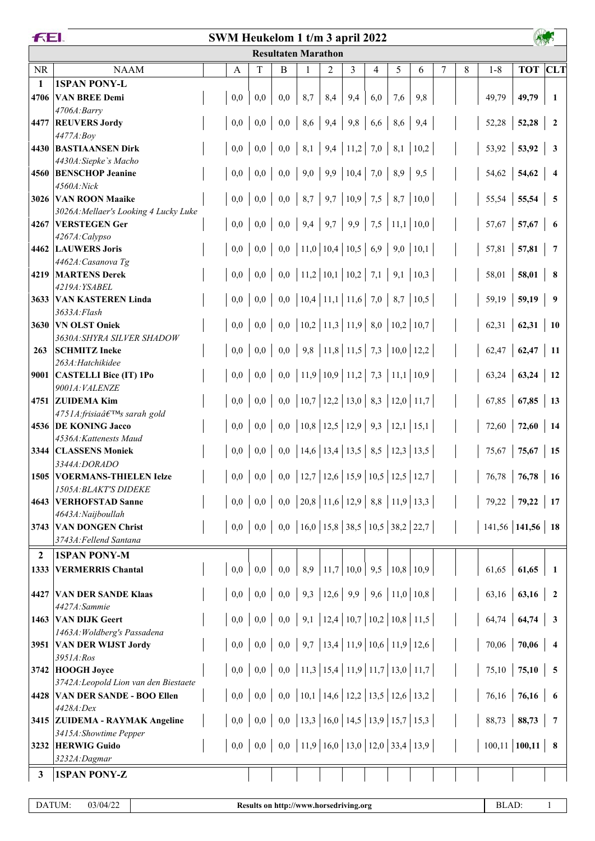|              | FEI.<br>SWM Heukelom 1 t/m 3 april 2022                            |     |     |                            |                                                               |                                         |     |                |     |      |   |   |                    |                      |                         |
|--------------|--------------------------------------------------------------------|-----|-----|----------------------------|---------------------------------------------------------------|-----------------------------------------|-----|----------------|-----|------|---|---|--------------------|----------------------|-------------------------|
|              |                                                                    |     |     | <b>Resultaten Marathon</b> |                                                               |                                         |     |                |     |      |   |   |                    |                      |                         |
| <b>NR</b>    | <b>NAAM</b>                                                        | A   | T   | B                          | 1                                                             | $\overline{2}$                          | 3   | $\overline{4}$ | 5   | 6    | 7 | 8 | $1 - 8$            | <b>TOT</b>           | <b>CLT</b>              |
| 1            | <b>1SPAN PONY-L</b>                                                |     |     |                            |                                                               |                                         |     |                |     |      |   |   |                    |                      |                         |
| 4706         | <b>VAN BREE Demi</b>                                               | 0,0 | 0,0 | 0,0                        | 8,7                                                           | 8,4                                     | 9,4 | 6,0            | 7,6 | 9,8  |   |   | 49,79              | 49,79                | -1                      |
| 4477         | 4706A:Barry<br><b>REUVERS Jordy</b>                                | 0,0 | 0,0 |                            | $0,0$   8,6   9,4   9,8   6,6                                 |                                         |     |                | 8,6 | 9,4  |   |   | 52,28              | 52,28                | $\overline{2}$          |
|              | 4477A:Boy                                                          |     |     |                            |                                                               |                                         |     |                |     |      |   |   |                    |                      |                         |
|              | 4430 BASTIAANSEN Dirk                                              | 0,0 | 0,0 |                            | $0,0$   8,1   9,4   11,2   7,0                                |                                         |     |                | 8,1 | 10,2 |   |   | 53,92              | 53,92                | $\mathbf{3}$            |
|              | 4430A: Siepke's Macho                                              |     |     |                            |                                                               |                                         |     |                |     |      |   |   |                    |                      |                         |
|              | 4560 BENSCHOP Jeanine                                              | 0,0 | 0,0 |                            | $0,0$   9,0   9,9   10,4   7,0                                |                                         |     |                | 8,9 | 9,5  |   |   | 54,62              | 54,62                | $\overline{4}$          |
| 3026         | 4560A:Nick<br><b>VAN ROON Maaike</b>                               | 0,0 | 0,0 |                            | $0,0$   8,7   9,7   10,9   7,5   8,7                          |                                         |     |                |     | 10,0 |   |   | 55,54              | 55,54                | $\overline{\mathbf{5}}$ |
|              | 3026A: Mellaer's Looking 4 Lucky Luke                              |     |     |                            |                                                               |                                         |     |                |     |      |   |   |                    |                      |                         |
| 4267         | <b>VERSTEGEN Ger</b>                                               | 0,0 | 0,0 |                            | $0,0 \mid 9,4 \mid 9,7 \mid 9,9 \mid 7,5 \mid 11,1 \mid 10,0$ |                                         |     |                |     |      |   |   | 57,67              | 57,67                | 6                       |
|              | 4267A:Calypso                                                      |     |     |                            |                                                               |                                         |     |                |     |      |   |   |                    |                      |                         |
|              | 4462 LAUWERS Joris<br>4462A: Casanova Tg                           | 0,0 | 0,0 |                            | $0,0$   11,0   10,4   10,5   6,9                              |                                         |     |                | 9,0 | 10,1 |   |   | 57,81              | 57,81                | $7\phantom{.0}$         |
| 4219         | <b>MARTENS Derek</b>                                               | 0,0 | 0,0 |                            | $0,0$   11,2   10,1   10,2   7,1   9,1   10,3                 |                                         |     |                |     |      |   |   | 58,01              | 58,01                | 8                       |
|              | 4219A: YSABEL                                                      |     |     |                            |                                                               |                                         |     |                |     |      |   |   |                    |                      |                         |
| 3633         | <b>VAN KASTEREN Linda</b>                                          | 0,0 | 0,0 |                            | $0,0$   10,4   11,1   11,6   7,0   8,7                        |                                         |     |                |     | 10,5 |   |   | 59,19              | 59,19                | 9                       |
|              | 3633A: Flash                                                       |     | 0,0 |                            |                                                               |                                         |     |                |     |      |   |   |                    |                      |                         |
| 3630         | <b>VN OLST Oniek</b><br>3630A: SHYRA SILVER SHADOW                 | 0,0 |     |                            | 0,0   10,2   11,3   11,9   8,0   10,2   10,7                  |                                         |     |                |     |      |   |   | 62,31              | 62,31                | <b>10</b>               |
| 263          | <b>SCHMITZ Ineke</b>                                               | 0,0 | 0,0 |                            | $0,0$   9,8   11,8   11,5   7,3   10,0   12,2                 |                                         |     |                |     |      |   |   | 62,47              | 62,47                | 11                      |
|              | 263A: Hatchikidee                                                  |     |     |                            |                                                               |                                         |     |                |     |      |   |   |                    |                      |                         |
|              | 9001 CASTELLI Bice (IT) 1Po                                        | 0,0 | 0,0 |                            | $0,0$   11,9   10,9   11,2   7,3   11,1   10,9                |                                         |     |                |     |      |   |   | 63,24              | 63,24                | <b>12</b>               |
| 4751         | 9001A: VALENZE<br><b>ZUIDEMA Kim</b>                               | 0,0 | 0,0 |                            | 0,0   10,7   12,2   13,0   8,3   12,0   11,7                  |                                         |     |                |     |      |   |   | 67,85              | 67,85                | 13                      |
|              | 4751A:frisia's sarah gold                                          |     |     |                            |                                                               |                                         |     |                |     |      |   |   |                    |                      |                         |
|              | 4536 DE KONING Jacco                                               | 0,0 | 0,0 |                            | $0,0$   10,8   12,5   12,9   9,3   12,1   15,1                |                                         |     |                |     |      |   |   | 72,60              | 72,60                | 14                      |
|              | 4536A: Kattenests Maud                                             |     |     |                            |                                                               |                                         |     |                |     |      |   |   |                    |                      |                         |
|              | 3344 CLASSENS Moniek                                               | 0,0 | 0,0 |                            | 0,0   14,6   13,4   13,5   8,5   12,3   13,5                  |                                         |     |                |     |      |   |   | 75,67              | 75,67                | 15                      |
| 1505         | 3344A:DORADO<br><b>VOERMANS-THIELEN Ielze</b>                      | 0,0 | 0,0 |                            | 0,0   12,7   12,6   15,9   10,5   12,5   12,7                 |                                         |     |                |     |      |   |   | 76,78              | 76,78                | 16                      |
|              | 1505A: BLAKT'S DIDEKE                                              |     |     |                            |                                                               |                                         |     |                |     |      |   |   |                    |                      |                         |
|              | 4643 VERHOFSTAD Sanne                                              | 0,0 | 0,0 |                            | $0,0$   20,8   11,6   12,9   8,8   11,9   13,3                |                                         |     |                |     |      |   |   |                    | $79,22$   $79,22$    | 17                      |
|              | 4643A: Naijboullah                                                 |     |     |                            |                                                               |                                         |     |                |     |      |   |   |                    |                      |                         |
|              | 3743 VAN DONGEN Christ<br>3743A: Fellend Santana                   | 0,0 | 0,0 |                            | 0,0   16,0   15,8   38,5   10,5   38,2   22,7                 |                                         |     |                |     |      |   |   | $141,56$ 141,56 18 |                      |                         |
| $\mathbf{2}$ | <b>1SPAN PONY-M</b>                                                |     |     |                            |                                                               |                                         |     |                |     |      |   |   |                    |                      |                         |
| 1333         | <b>VERMERRIS Chantal</b>                                           | 0,0 | 0,0 | 0,0                        |                                                               | $8,9$   11,7   10,0   9,5   10,8   10,9 |     |                |     |      |   |   | 61,65              | 61,65                | 1                       |
|              |                                                                    |     |     |                            |                                                               |                                         |     |                |     |      |   |   |                    |                      |                         |
| 4427         | <b>VAN DER SANDE Klaas</b>                                         | 0,0 |     |                            |                                                               |                                         |     |                |     |      |   |   |                    | 63,16   <b>63,16</b> | $\overline{\mathbf{2}}$ |
|              | 4427A:Sammie                                                       |     |     |                            |                                                               |                                         |     |                |     |      |   |   |                    |                      |                         |
| 1463         | <b>VAN DIJK Geert</b><br>1463A: Woldberg's Passadena               | 0,0 | 0,0 |                            | $0,0$   9,1   12,4   10,7   10,2   10,8   11,5                |                                         |     |                |     |      |   |   |                    | $64,74$ 64,74        | $\overline{\mathbf{3}}$ |
|              | 3951 VAN DER WIJST Jordy                                           | 0,0 | 0,0 |                            | $0,0$   9,7   13,4   11,9   10,6   11,9   12,6                |                                         |     |                |     |      |   |   | 70,06              | 70,06                | $\overline{\mathbf{4}}$ |
|              | 3951A:Ros                                                          |     |     |                            |                                                               |                                         |     |                |     |      |   |   |                    |                      |                         |
|              | 3742 HOOGH Joyce                                                   | 0,0 | 0,0 |                            | 0,0   11,3   15,4   11,9   11,7   13,0   11,7                 |                                         |     |                |     |      |   |   | 75,10              | 75,10                | $\sqrt{5}$              |
| 4428         | 3742A: Leopold Lion van den Biestaete<br>VAN DER SANDE - BOO Ellen | 0,0 | 0,0 |                            | 0,0   10,1   14,6   12,2   13,5   12,6   13,2                 |                                         |     |                |     |      |   |   |                    | $76,16$   76,16      | - 6                     |
|              | 4428A:Dex                                                          |     |     |                            |                                                               |                                         |     |                |     |      |   |   |                    |                      |                         |
|              | 3415 ZUIDEMA - RAYMAK Angeline                                     | 0,0 | 0,0 |                            | $0,0$   13,3   16,0   14,5   13,9   15,7   15,3               |                                         |     |                |     |      |   |   |                    | $88,73$   88,73      | 7                       |
|              | 3415A: Showtime Pepper                                             |     |     |                            |                                                               |                                         |     |                |     |      |   |   |                    |                      |                         |
|              | 3232 HERWIG Guido                                                  | 0,0 |     |                            |                                                               |                                         |     |                |     |      |   |   |                    | $100,11$ 100,11      | $\overline{\mathbf{8}}$ |
|              | 3232A:Dagmar                                                       |     |     |                            |                                                               |                                         |     |                |     |      |   |   |                    |                      |                         |
| 3            | <b>1SPAN PONY-Z</b>                                                |     |     |                            |                                                               |                                         |     |                |     |      |   |   |                    |                      |                         |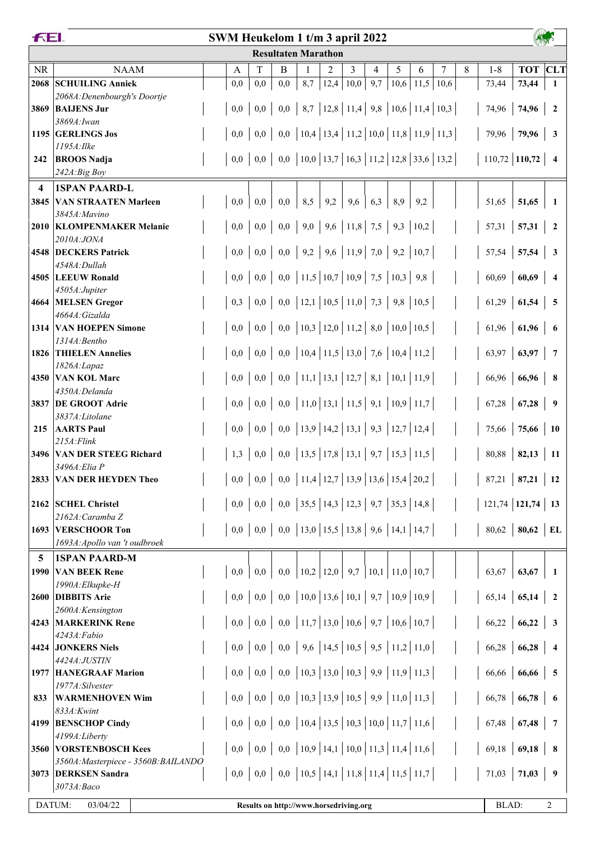|           | FEI.<br>SWM Heukelom 1 t/m 3 april 2022    |  |     |     |                                        |                                                                    |      |      |     |      |      |                                                      |   |                   |                 |                         |
|-----------|--------------------------------------------|--|-----|-----|----------------------------------------|--------------------------------------------------------------------|------|------|-----|------|------|------------------------------------------------------|---|-------------------|-----------------|-------------------------|
|           |                                            |  |     |     | <b>Resultaten Marathon</b>             |                                                                    |      |      |     |      |      |                                                      |   |                   |                 |                         |
| <b>NR</b> | <b>NAAM</b>                                |  | A   | T   | B                                      |                                                                    | 2    | 3    | 4   | 5    | 6    | 7                                                    | 8 | $1 - 8$           | <b>TOT</b> CLT  |                         |
| 2068      | <b>SCHUILING Anniek</b>                    |  | 0,0 | 0,0 | 0,0                                    | 8,7                                                                | 12,4 | 10,0 | 9,7 | 10,6 | 11,5 | 10,6                                                 |   | 73,44             | 73,44           | 1                       |
|           | 2068A: Denenbourgh's Doortje               |  |     |     |                                        |                                                                    |      |      |     |      |      |                                                      |   |                   |                 |                         |
| 3869      | <b>BAIJENS Jur</b>                         |  | 0,0 | 0,0 |                                        |                                                                    |      |      |     |      |      | $0,0$   8,7   12,8   11,4   9,8   10,6   11,4   10,3 |   | 74,96             | 74,96           | $\overline{2}$          |
|           | 3869A: Iwan<br>1195 GERLINGS Jos           |  | 0,0 | 0,0 |                                        |                                                                    |      |      |     |      |      | 0,0   10,4   13,4   11,2   10,0   11,8   11,9   11,3 |   | 79,96             | 79,96           | 3                       |
|           | 1195A: Ilke                                |  |     |     |                                        |                                                                    |      |      |     |      |      |                                                      |   |                   |                 |                         |
| 242       | <b>BROOS Nadja</b>                         |  | 0,0 | 0,0 |                                        |                                                                    |      |      |     |      |      | 0,0   10,0   13,7   16,3   11,2   12,8   33,6   13,2 |   | $110,72$ 110,72   |                 | $\overline{4}$          |
|           | 242A:Big Boy                               |  |     |     |                                        |                                                                    |      |      |     |      |      |                                                      |   |                   |                 |                         |
| 4         | <b>1SPAN PAARD-L</b>                       |  |     |     |                                        |                                                                    |      |      |     |      |      |                                                      |   |                   |                 |                         |
| 3845      | <b>VAN STRAATEN Marleen</b>                |  | 0,0 | 0,0 | 0,0                                    | 8,5                                                                | 9,2  | 9,6  | 6,3 | 8,9  | 9,2  |                                                      |   | 51,65             | 51,65           |                         |
|           | 3845A: Mavino                              |  |     |     |                                        |                                                                    |      |      |     |      |      |                                                      |   |                   |                 |                         |
|           | 2010 KLOMPENMAKER Melanie                  |  | 0,0 | 0,0 |                                        | $0,0$   9,0   9,6   11,8   7,5   9,3   10,2                        |      |      |     |      |      |                                                      |   | 57,31             | 57,31           | $\overline{2}$          |
|           | 2010A:JONA<br>4548 DECKERS Patrick         |  | 0,0 | 0,0 |                                        | $0,0$   9,2   9,6   11,9   7,0                                     |      |      |     | 9,2  | 10,7 |                                                      |   | 57,54             | 57,54           | $\mathbf{3}$            |
|           | 4548A:Dullah                               |  |     |     |                                        |                                                                    |      |      |     |      |      |                                                      |   |                   |                 |                         |
|           | 4505 LEEUW Ronald                          |  | 0,0 | 0,0 |                                        | $0,0$   11,5   10,7   10,9   7,5   10,3                            |      |      |     |      | 9,8  |                                                      |   | 60,69             | 60,69           | 4                       |
|           | 4505A:Jupiter                              |  |     |     |                                        |                                                                    |      |      |     |      |      |                                                      |   |                   |                 |                         |
| 4664      | <b>MELSEN</b> Gregor                       |  | 0,3 | 0,0 |                                        | 0,0   12,1   10,5   11,0   7,3   9,8   10,5                        |      |      |     |      |      |                                                      |   | 61,29             | 61,54           | 5                       |
| 1314      | 4664A: Gizalda<br><b>VAN HOEPEN Simone</b> |  | 0,0 | 0,0 |                                        | 0,0   10,3   12,0   11,2   8,0   10,0   10,5                       |      |      |     |      |      |                                                      |   |                   | $61,96$ 61,96   | -6                      |
|           | 1314A: Bentho                              |  |     |     |                                        |                                                                    |      |      |     |      |      |                                                      |   |                   |                 |                         |
| 1826      | <b>THIELEN Annelies</b>                    |  | 0,0 | 0,0 |                                        | 0,0   10,4   11,5   13,0   7,6   10,4   11,2                       |      |      |     |      |      |                                                      |   | 63,97             | 63,97           | $7\phantom{.0}$         |
|           | 1826A:Lapaz                                |  |     |     |                                        |                                                                    |      |      |     |      |      |                                                      |   |                   |                 |                         |
|           | 4350 VAN KOL Marc                          |  | 0,0 | 0,0 |                                        | $0,0$   11,1   13,1   12,7   8,1   10,1   11,9                     |      |      |     |      |      |                                                      |   | 66,96             | 66,96           | 8                       |
| 3837      | 4350A:Delanda<br><b>DE GROOT Adrie</b>     |  | 0,0 | 0,0 |                                        | $0,0$   11,0   13,1   11,5   9,1   10,9   11,7                     |      |      |     |      |      |                                                      |   | 67,28             | 67,28           | 9                       |
|           | 3837A:Litolane                             |  |     |     |                                        |                                                                    |      |      |     |      |      |                                                      |   |                   |                 |                         |
| 215       | <b>AARTS Paul</b>                          |  | 0,0 | 0,0 |                                        | 0,0   13,9   14,2   13,1   9,3   12,7   12,4                       |      |      |     |      |      |                                                      |   | 75,66             | 75,66           | <b>10</b>               |
|           | $215A$ : Flink                             |  |     |     |                                        |                                                                    |      |      |     |      |      |                                                      |   |                   |                 |                         |
| 3496      | <b>VAN DER STEEG Richard</b>               |  | 1,3 | 0,0 |                                        | $0,0$   13,5   17,8   13,1   9,7   15,3   11,5                     |      |      |     |      |      |                                                      |   | 80,88             | 82,13           | 11                      |
|           | 3496A:Elia P                               |  |     |     |                                        | 11,4   12,7   13,9   13,6   15,4   20,2                            |      |      |     |      |      |                                                      |   |                   |                 |                         |
| 2833      | <b>VAN DER HEYDEN Theo</b>                 |  | 0,0 | 0,0 | 0,0                                    |                                                                    |      |      |     |      |      |                                                      |   | 87,21             | 87,21           | 12                      |
|           | 2162 SCHEL Christel                        |  | 0,0 | 0,0 |                                        | 0,0   35,5   14,3   12,3   9,7   35,3   14,8                       |      |      |     |      |      |                                                      |   | $121,74$   121,74 |                 | 13                      |
|           | 2162A: Caramba Z                           |  |     |     |                                        |                                                                    |      |      |     |      |      |                                                      |   |                   |                 |                         |
| 1693      | <b>VERSCHOOR Ton</b>                       |  | 0,0 | 0,0 |                                        | $0,0$   13,0   15,5   13,8   9,6   14,1   14,7                     |      |      |     |      |      |                                                      |   | 80,62             | $ 80,62\rangle$ | EL                      |
|           | 1693A: Apollo van 't oudbroek              |  |     |     |                                        |                                                                    |      |      |     |      |      |                                                      |   |                   |                 |                         |
| 5         | <b>1SPAN PAARD-M</b>                       |  |     |     |                                        |                                                                    |      |      |     |      |      |                                                      |   |                   |                 |                         |
| 1990      | <b>VAN BEEK Rene</b>                       |  | 0,0 | 0,0 | 0,0                                    | $\vert 10,2 \vert 12,0 \vert 9,7 \vert 10,1 \vert 11,0 \vert 10,7$ |      |      |     |      |      |                                                      |   | 63,67             | 63,67           | 1                       |
| 2600      | 1990A: Elkupke-H<br><b>DIBBITS Arie</b>    |  | 0,0 | 0,0 |                                        | $0,0$   10,0   13,6   10,1   9,7   10,9   10,9                     |      |      |     |      |      |                                                      |   |                   | $65,14$ 65,14   | $\overline{\mathbf{2}}$ |
|           | 2600A:Kensington                           |  |     |     |                                        |                                                                    |      |      |     |      |      |                                                      |   |                   |                 |                         |
| 4243      | <b>MARKERINK Rene</b>                      |  | 0,0 | 0,0 |                                        | $0,0$   11,7   13,0   10,6   9,7   10,6   10,7                     |      |      |     |      |      |                                                      |   | 66,22             | 66,22           | $\overline{\mathbf{3}}$ |
|           | 4243A:Fabio                                |  |     |     |                                        |                                                                    |      |      |     |      |      |                                                      |   |                   |                 |                         |
|           | 4424 JONKERS Niels                         |  | 0,0 | 0,0 |                                        | $0,0$   9,6   14,5   10,5   9,5   11,2   11,0                      |      |      |     |      |      |                                                      |   | 66,28             | 66,28           | $\overline{4}$          |
| 1977      | 4424A:JUSTIN<br><b>HANEGRAAF Marion</b>    |  | 0,0 | 0,0 |                                        | $0,0$   10,3   13,0   10,3   9,9   11,9   11,3                     |      |      |     |      |      |                                                      |   | 66,66             | 66,66           | 5                       |
|           | 1977A:Silvester                            |  |     |     |                                        |                                                                    |      |      |     |      |      |                                                      |   |                   |                 |                         |
| 833       | <b>WARMENHOVEN Wim</b>                     |  | 0,0 | 0,0 |                                        | $0,0$   10,3   13,9   10,5   9,9   11,0   11,3                     |      |      |     |      |      |                                                      |   | 66,78             | 66,78           | 6                       |
|           | 833A:Kwint                                 |  |     |     |                                        |                                                                    |      |      |     |      |      |                                                      |   |                   |                 |                         |
| 4199      | <b>BENSCHOP Cindy</b>                      |  | 0,0 | 0,0 |                                        | 0,0   10,4   13,5   10,3   10,0   11,7   11,6                      |      |      |     |      |      |                                                      |   |                   | $67,48$   67,48 | 7                       |
|           | 4199A:Liberty<br><b>VORSTENBOSCH Kees</b>  |  | 0,0 | 0,0 |                                        | 0,0   10,9   14,1   10,0   11,3   11,4   11,6                      |      |      |     |      |      |                                                      |   | 69,18             | 69,18           | 8                       |
| 3560      | 3560A: Masterpiece - 3560B: BAILANDO       |  |     |     |                                        |                                                                    |      |      |     |      |      |                                                      |   |                   |                 |                         |
|           | 3073 DERKSEN Sandra                        |  | 0,0 | 0,0 |                                        | $0,0$   10,5   14,1   11,8   11,4   11,5   11,7                    |      |      |     |      |      |                                                      |   | 71,03             | 71,03           | 9                       |
|           | 3073A:Baco                                 |  |     |     |                                        |                                                                    |      |      |     |      |      |                                                      |   |                   |                 |                         |
|           | DATUM:<br>03/04/22                         |  |     |     | Results on http://www.horsedriving.org |                                                                    |      |      |     |      |      |                                                      |   | <b>BLAD:</b>      |                 | 2                       |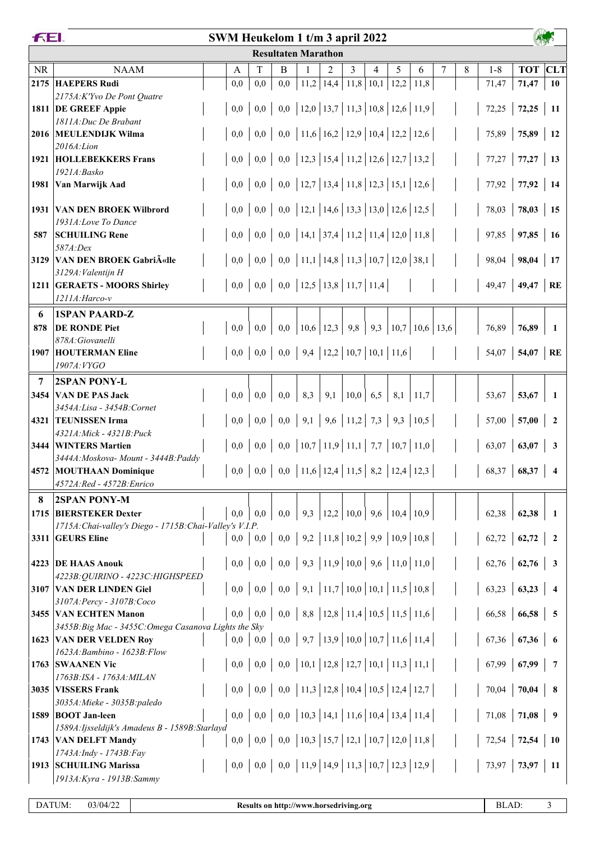| <b>FEI.</b><br>SWM Heukelom 1 t/m 3 april 2022 |                                                          |  |     |                        |     |                                                                                          |                |                                       |     |      |                          |   |   |       |                 |                         |
|------------------------------------------------|----------------------------------------------------------|--|-----|------------------------|-----|------------------------------------------------------------------------------------------|----------------|---------------------------------------|-----|------|--------------------------|---|---|-------|-----------------|-------------------------|
|                                                |                                                          |  |     |                        |     | <b>Resultaten Marathon</b>                                                               |                |                                       |     |      |                          |   |   |       |                 |                         |
| <b>NR</b>                                      | <b>NAAM</b>                                              |  | А   | T                      | B   |                                                                                          | $\overline{2}$ | 3                                     | 4   | 5    | 6                        | 7 | 8 | $1-8$ | <b>TOT</b> CLT  |                         |
| 2175                                           | <b>HAEPERS Rudi</b>                                      |  | 0,0 | 0,0                    | 0,0 |                                                                                          |                | $11,2$   14,4   11,8   10,1           |     | 12,2 | 11,8                     |   |   | 71,47 | 71,47           | 10                      |
|                                                | 2175A:K'Yvo De Pont Quatre                               |  |     |                        |     |                                                                                          |                |                                       |     |      |                          |   |   |       |                 |                         |
|                                                | 1811 DE GREEF Appie                                      |  | 0,0 | 0,0                    |     | 0,0   12,0   13,7   11,3   10,8   12,6   11,9                                            |                |                                       |     |      |                          |   |   | 72,25 | 72,25           | -11                     |
|                                                | 1811A: Duc De Brabant<br>2016 MEULENDIJK Wilma           |  | 0,0 | 0,0                    |     | 0,0   11,6   16,2   12,9   10,4   12,2   12,6                                            |                |                                       |     |      |                          |   |   | 75,89 | 75,89           | 12                      |
|                                                | 2016A: Lion                                              |  |     |                        |     |                                                                                          |                |                                       |     |      |                          |   |   |       |                 |                         |
|                                                | <b>1921 HOLLEBEKKERS Frans</b>                           |  | 0,0 | 0,0                    |     | 0,0   12,3   15,4   11,2   12,6   12,7   13,2                                            |                |                                       |     |      |                          |   |   | 77,27 | $77,27$ 13      |                         |
|                                                | 1921A:Basko                                              |  |     |                        |     |                                                                                          |                |                                       |     |      |                          |   |   |       |                 |                         |
| 1981                                           | Van Marwijk Aad                                          |  | 0,0 | 0,0                    |     | 0,0   12,7   13,4   11,8   12,3   15,1   12,6                                            |                |                                       |     |      |                          |   |   | 77,92 | $77,92$   14    |                         |
|                                                |                                                          |  |     |                        |     |                                                                                          |                |                                       |     |      |                          |   |   |       |                 |                         |
| 1931                                           | <b>VAN DEN BROEK Wilbrord</b>                            |  | 0,0 | 0,0                    |     | 0,0   12,1   14,6   13,3   13,0   12,6   12,5                                            |                |                                       |     |      |                          |   |   | 78,03 | 78,03           | 15                      |
| 587                                            | 1931A:Love To Dance<br><b>SCHUILING Rene</b>             |  | 0,0 | 0,0                    |     | 0,0   14,1   37,4   11,2   11,4   12,0   11,8                                            |                |                                       |     |      |                          |   |   | 97,85 | 97,85           | <b>16</b>               |
|                                                | 587A:Dex                                                 |  |     |                        |     |                                                                                          |                |                                       |     |      |                          |   |   |       |                 |                         |
| 3129                                           | <b>VAN DEN BROEK Gabriëlle</b>                           |  | 0,0 | 0,0                    |     | 0,0   11,1   14,8   11,3   10,7   12,0   38,1                                            |                |                                       |     |      |                          |   |   | 98,04 | 98,04           | 17                      |
|                                                | 3129A: Valentijn H                                       |  |     |                        |     |                                                                                          |                |                                       |     |      |                          |   |   |       |                 |                         |
|                                                | 1211 GERAETS - MOORS Shirley                             |  | 0,0 | 0,0                    |     |                                                                                          |                |                                       |     |      |                          |   |   | 49,47 | $49,47$ RE      |                         |
|                                                | 1211A: Harco-v                                           |  |     |                        |     |                                                                                          |                |                                       |     |      |                          |   |   |       |                 |                         |
| 6                                              | <b>1SPAN PAARD-Z</b>                                     |  |     |                        |     |                                                                                          |                |                                       |     |      |                          |   |   |       |                 |                         |
| 878                                            | <b>DE RONDE Piet</b>                                     |  | 0,0 | 0,0                    | 0,0 | 10,6 12,3 9,8                                                                            |                |                                       |     |      | 9,3   10,7   10,6   13,6 |   |   | 76,89 | 76,89           | 1                       |
| 1907                                           | 878A: Giovanelli<br><b>HOUTERMAN Eline</b>               |  |     | $0,0 \ 0,0$            |     | $0,0$   9,4   12,2   10,7   10,1   11,6                                                  |                |                                       |     |      |                          |   |   | 54,07 | 54,07 RE        |                         |
|                                                | 1907A: VYGO                                              |  |     |                        |     |                                                                                          |                |                                       |     |      |                          |   |   |       |                 |                         |
| 7                                              | 2SPAN PONY-L                                             |  |     |                        |     |                                                                                          |                |                                       |     |      |                          |   |   |       |                 |                         |
|                                                | 3454 VAN DE PAS Jack                                     |  | 0,0 | 0,0                    | 0,0 | 8,3                                                                                      | 9,1            | 10,0                                  | 6,5 | 8,1  | 11,7                     |   |   | 53,67 | 53,67           |                         |
|                                                | 3454A: Lisa - 3454B: Cornet                              |  |     |                        |     |                                                                                          |                |                                       |     |      |                          |   |   |       |                 |                         |
|                                                | 4321 TEUNISSEN Irma                                      |  | 0,0 | 0,0                    |     | $0,0$   9,1   9,6   11,2   7,3   9,3   10,5                                              |                |                                       |     |      |                          |   |   | 57,00 | 57,00           | $\overline{2}$          |
|                                                | 4321A: Mick - 4321B: Puck                                |  |     |                        |     |                                                                                          |                |                                       |     |      |                          |   |   |       |                 |                         |
|                                                | 3444 WINTERS Martien                                     |  | 0,0 | 0,0                    |     | 0,0   10,7   11,9   11,1   7,7   10,7   11,0                                             |                |                                       |     |      |                          |   |   | 63,07 | 63,07           | 3                       |
|                                                | 3444A: Moskova- Mount - 3444B: Paddy                     |  |     |                        |     |                                                                                          |                |                                       |     |      |                          |   |   |       |                 |                         |
|                                                | 4572 MOUTHAAN Dominique<br>4572A: Red - 4572B: Enrico    |  |     |                        |     | $0,0 \mid 0,0 \mid 0,0 \mid 11,6 \mid 12,4 \mid 11,5 \mid 8,2 \mid 12,4 \mid 12,3 \mid$  |                |                                       |     |      |                          |   |   |       | $68,37$ 68,37   |                         |
| 8                                              | <b>2SPAN PONY-M</b>                                      |  |     |                        |     |                                                                                          |                |                                       |     |      |                          |   |   |       |                 |                         |
|                                                | 1715 BIERSTEKER Dexter                                   |  | 0,0 | 0.0                    | 0,0 |                                                                                          |                | 9,3   12,2   10,0   9,6   10,4   10,9 |     |      |                          |   |   | 62,38 | 62,38           | - 1                     |
|                                                | 1715A: Chai-valley's Diego - 1715B: Chai-Valley's V.I.P. |  |     |                        |     |                                                                                          |                |                                       |     |      |                          |   |   |       |                 |                         |
|                                                | 3311 GEURS Eline                                         |  | 0,0 | 0,0                    |     | $0,0 \mid 9,2 \mid 11,8 \mid 10,2 \mid 9,9 \mid 10,9 \mid 10,8 \mid$                     |                |                                       |     |      |                          |   |   |       | $62,72$ 62,72 2 |                         |
|                                                |                                                          |  |     |                        |     |                                                                                          |                |                                       |     |      |                          |   |   |       |                 |                         |
|                                                | 4223 DE HAAS Anouk                                       |  | 0,0 | 0,0                    |     |                                                                                          |                |                                       |     |      |                          |   |   | 62,76 | 62,76           | $\overline{\mathbf{3}}$ |
|                                                | 4223B: QUIRINO - 4223C: HIGHSPEED                        |  |     |                        |     |                                                                                          |                |                                       |     |      |                          |   |   |       |                 |                         |
|                                                | 3107 VAN DER LINDEN Giel<br>3107A: Percy - 3107B: Coco   |  | 0,0 | 0,0                    |     |                                                                                          |                |                                       |     |      |                          |   |   | 63,23 | 63,23           | $\overline{4}$          |
|                                                | 3455 VAN ECHTEN Manon                                    |  | 0,0 | 0,0                    |     |                                                                                          |                |                                       |     |      |                          |   |   | 66,58 | $66,58$ 5       |                         |
|                                                | 3455B: Big Mac - 3455C: Omega Casanova Lights the Sky    |  |     |                        |     |                                                                                          |                |                                       |     |      |                          |   |   |       |                 |                         |
|                                                | 1623 VAN DER VELDEN Roy                                  |  |     | $0,0 \,   \, 0,0 \,  $ |     |                                                                                          |                |                                       |     |      |                          |   |   |       | $67,36$ 67,36 6 |                         |
|                                                | 1623A: Bambino - 1623B: Flow                             |  |     |                        |     |                                                                                          |                |                                       |     |      |                          |   |   |       |                 |                         |
|                                                | 1763 SWAANEN Vic                                         |  |     | $0,0 \ 0,0$            |     |                                                                                          |                |                                       |     |      |                          |   |   | 67,99 | $67,99$   7     |                         |
|                                                | 1763B:ISA - 1763A: MILAN                                 |  |     |                        |     |                                                                                          |                |                                       |     |      |                          |   |   |       |                 |                         |
|                                                | 3035   VISSERS Frank<br>3035A: Mieke - 3035B: paledo     |  | 0,0 | 0,0                    |     | 0,0   11,3   12,8   10,4   10,5   12,4   12,7                                            |                |                                       |     |      |                          |   |   | 70,04 | 70,04           | $\overline{\mathbf{8}}$ |
|                                                | 1589 BOOT Jan-leen                                       |  |     | $0,0 \ 0,0$            |     | 0,0   10,3   14,1   11,6   10,4   13,4   11,4                                            |                |                                       |     |      |                          |   |   | 71,08 | $71,08$ 9       |                         |
|                                                | 1589A: Ijsseldijk's Amadeus B - 1589B: Starlayd          |  |     |                        |     |                                                                                          |                |                                       |     |      |                          |   |   |       |                 |                         |
|                                                | 1743 VAN DELFT Mandy                                     |  |     | $0,0 \ 0,0$            |     | 0,0   10,3   15,7   12,1   10,7   12,0   11,8                                            |                |                                       |     |      |                          |   |   | 72,54 | $72,54$   10    |                         |
|                                                | 1743A:Indy - 1743B:Fay                                   |  |     |                        |     |                                                                                          |                |                                       |     |      |                          |   |   |       |                 |                         |
|                                                | 1913 SCHUILING Marissa                                   |  |     |                        |     | $0,0 \mid 0,0 \mid 0,0 \mid 11,9 \mid 14,9 \mid 11,3 \mid 10,7 \mid 12,3 \mid 12,9 \mid$ |                |                                       |     |      |                          |   |   | 73,97 | 73,97           | $\vert$ 11              |
|                                                | 1913A: Kyra - 1913B: Sammy                               |  |     |                        |     |                                                                                          |                |                                       |     |      |                          |   |   |       |                 |                         |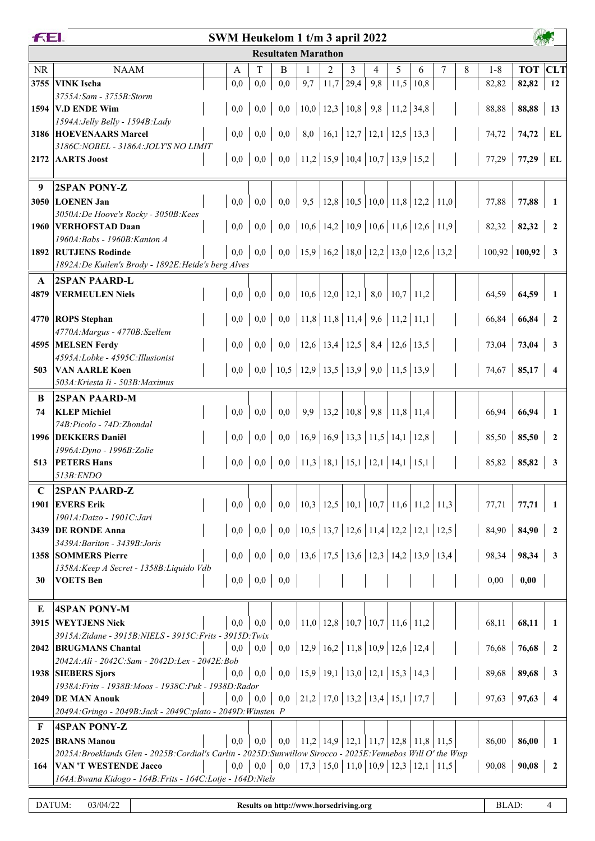|           | FEI.<br>SWM Heukelom 1 t/m 3 april 2022                                                                        |  |                  |         |                                                                                                    |                                                                                                                                                                                                                                                                                                                                                               |                                                  |                                           |     |               |                                           |   |   |                 |                |                         |
|-----------|----------------------------------------------------------------------------------------------------------------|--|------------------|---------|----------------------------------------------------------------------------------------------------|---------------------------------------------------------------------------------------------------------------------------------------------------------------------------------------------------------------------------------------------------------------------------------------------------------------------------------------------------------------|--------------------------------------------------|-------------------------------------------|-----|---------------|-------------------------------------------|---|---|-----------------|----------------|-------------------------|
|           |                                                                                                                |  |                  |         | <b>Resultaten Marathon</b>                                                                         |                                                                                                                                                                                                                                                                                                                                                               |                                                  |                                           |     |               |                                           |   |   |                 |                |                         |
| <b>NR</b> | <b>NAAM</b>                                                                                                    |  | A                | T       | B                                                                                                  | 1                                                                                                                                                                                                                                                                                                                                                             | 2                                                | 3                                         | 4   | 5             | 6                                         | 7 | 8 | $1 - 8$         | <b>TOT CLT</b> |                         |
| 3755      | <b>VINK</b> Ischa                                                                                              |  | 0,0              | 0,0     | 0,0                                                                                                | 9,7                                                                                                                                                                                                                                                                                                                                                           | 11,7                                             | 29,4                                      | 9,8 | $11,5$   10,8 |                                           |   |   | 82,82           | 82,82          | 12                      |
|           | 3755A: Sam - 3755B: Storm                                                                                      |  |                  |         |                                                                                                    |                                                                                                                                                                                                                                                                                                                                                               |                                                  |                                           |     |               |                                           |   |   |                 |                |                         |
|           | 1594 V.D ENDE Wim                                                                                              |  |                  |         |                                                                                                    |                                                                                                                                                                                                                                                                                                                                                               |                                                  |                                           |     |               |                                           |   |   | 88,88           | 88,88          | 13                      |
|           | 1594A: Jelly Belly - 1594B: Lady<br>3186 HOEVENAARS Marcel                                                     |  |                  |         | $0,0 \mid 0,0 \mid 0,0 \mid 8,0 \mid 16,1 \mid 12,7 \mid 12,1 \mid 12,5 \mid 13,3 \mid$            |                                                                                                                                                                                                                                                                                                                                                               |                                                  |                                           |     |               |                                           |   |   |                 | 74,72          |                         |
|           | 3186C: NOBEL - 3186A: JOLY'S NO LIMIT                                                                          |  |                  |         |                                                                                                    |                                                                                                                                                                                                                                                                                                                                                               |                                                  |                                           |     |               |                                           |   |   | 74,72           |                | EL                      |
| 2172      | <b>AARTS</b> Joost                                                                                             |  |                  |         | $0,0 \mid 0,0 \mid 0,0 \mid 11,2 \mid 15,9 \mid 10,4 \mid 10,7 \mid 13,9 \mid 15,2 \mid$           |                                                                                                                                                                                                                                                                                                                                                               |                                                  |                                           |     |               |                                           |   |   | 77,29           | 77,29          | $\mathbf{EL}$           |
|           |                                                                                                                |  |                  |         |                                                                                                    |                                                                                                                                                                                                                                                                                                                                                               |                                                  |                                           |     |               |                                           |   |   |                 |                |                         |
| 9         | <b>2SPAN PONY-Z</b>                                                                                            |  |                  |         |                                                                                                    |                                                                                                                                                                                                                                                                                                                                                               |                                                  |                                           |     |               |                                           |   |   |                 |                |                         |
|           | 3050 LOENEN Jan                                                                                                |  | 0,0              | 0,0     | 0,0                                                                                                | 9,5                                                                                                                                                                                                                                                                                                                                                           |                                                  |                                           |     |               | $12,8$   10,5   10,0   11,8   12,2   11,0 |   |   | 77,88           | 77,88          | 1                       |
|           | 3050A:De Hoove's Rocky - 3050B:Kees                                                                            |  |                  |         |                                                                                                    |                                                                                                                                                                                                                                                                                                                                                               |                                                  |                                           |     |               |                                           |   |   |                 |                |                         |
|           | 1960 VERHOFSTAD Daan                                                                                           |  | 0,0              | 0,0     |                                                                                                    | 0,0   10,6   14,2   10,9   10,6   11,6   12,6   11,9                                                                                                                                                                                                                                                                                                          |                                                  |                                           |     |               |                                           |   |   | 82,32           | 82,32          | $\mathbf{2}$            |
|           | 1960A: Babs - 1960B: Kanton A<br>1892 RUTJENS Rodinde                                                          |  |                  |         | $0,0 \mid 0,0 \mid 0,0 \mid 15,9 \mid 16,2 \mid 18,0 \mid 12,2 \mid 13,0 \mid 12,6 \mid 13,2 \mid$ |                                                                                                                                                                                                                                                                                                                                                               |                                                  |                                           |     |               |                                           |   |   | $100,92$ 100,92 |                | $\overline{\mathbf{3}}$ |
|           | 1892A:De Kuilen's Brody - 1892E:Heide's berg Alves                                                             |  |                  |         |                                                                                                    |                                                                                                                                                                                                                                                                                                                                                               |                                                  |                                           |     |               |                                           |   |   |                 |                |                         |
| A         | <b>2SPAN PAARD-L</b>                                                                                           |  |                  |         |                                                                                                    |                                                                                                                                                                                                                                                                                                                                                               |                                                  |                                           |     |               |                                           |   |   |                 |                |                         |
| 4879      | <b>VERMEULEN Niels</b>                                                                                         |  | 0.0              | 0,0     | 0,0                                                                                                | $\vert 10,6 \vert 12,0 \vert 12,1 \vert 8,0 \vert 10,7 \vert 11,2 \vert 11,2 \vert 12,0 \vert 13,0 \vert 14,0 \vert 15,0 \vert 16,0 \vert 17,0 \vert 18,0 \vert 19,0 \vert 16,0 \vert 17,0 \vert 18,0 \vert 19,0 \vert 19,0 \vert 19,0 \vert 19,0 \vert 19,0 \vert 19,0 \vert 19,0 \vert 19,0 \vert 19,0 \vert 19,0 \vert 19,0 \vert 19,0 \vert 19,0 \vert 1$ |                                                  |                                           |     |               |                                           |   |   | 64,59           | 64,59          | -1                      |
|           |                                                                                                                |  |                  |         |                                                                                                    |                                                                                                                                                                                                                                                                                                                                                               |                                                  |                                           |     |               |                                           |   |   |                 |                |                         |
|           | 4770 ROPS Stephan                                                                                              |  | 0,0              |         | $0,0 \mid 0,0 \mid 11,8 \mid 11,8 \mid 11,4 \mid 9,6 \mid 11,2 \mid 11,1$                          |                                                                                                                                                                                                                                                                                                                                                               |                                                  |                                           |     |               |                                           |   |   | 66,84           | 66,84          | $\overline{2}$          |
|           | 4770A: Margus - 4770B: Szellem                                                                                 |  |                  |         |                                                                                                    |                                                                                                                                                                                                                                                                                                                                                               |                                                  |                                           |     |               |                                           |   |   |                 |                |                         |
|           | 4595 MELSEN Ferdy                                                                                              |  |                  |         | $0,0 \mid 0,0 \mid 0,0 \mid 12,6 \mid 13,4 \mid 12,5 \mid 8,4 \mid 12,6 \mid 13,5 \mid$            |                                                                                                                                                                                                                                                                                                                                                               |                                                  |                                           |     |               |                                           |   |   | 73,04           | 73,04          | 3                       |
| 503       | 4595A:Lobke - 4595C:Illusionist<br><b>VAN AARLE Koen</b>                                                       |  |                  |         |                                                                                                    |                                                                                                                                                                                                                                                                                                                                                               |                                                  |                                           |     |               |                                           |   |   | 74,67           | 85,17          | $\overline{4}$          |
|           | 503A: Kriesta Ii - 503B: Maximus                                                                               |  |                  |         |                                                                                                    |                                                                                                                                                                                                                                                                                                                                                               |                                                  |                                           |     |               |                                           |   |   |                 |                |                         |
| B         | <b>2SPAN PAARD-M</b>                                                                                           |  |                  |         |                                                                                                    |                                                                                                                                                                                                                                                                                                                                                               |                                                  |                                           |     |               |                                           |   |   |                 |                |                         |
| 74        | <b>KLEP Michiel</b>                                                                                            |  | 0,0              | 0,0     | 0,0                                                                                                | 9,9                                                                                                                                                                                                                                                                                                                                                           |                                                  | $13,2$   $10,8$   $9,8$   $11,8$   $11,4$ |     |               |                                           |   |   | 66,94           | 66,94          | 1                       |
|           | 74B: Picolo - 74D: Zhondal                                                                                     |  |                  |         |                                                                                                    |                                                                                                                                                                                                                                                                                                                                                               |                                                  |                                           |     |               |                                           |   |   |                 |                |                         |
|           | 1996 DEKKERS Daniël                                                                                            |  |                  |         |                                                                                                    |                                                                                                                                                                                                                                                                                                                                                               |                                                  |                                           |     |               |                                           |   |   | 85,50           | 85,50          | $\boldsymbol{2}$        |
|           | 1996A: Dyno - 1996B: Zolie                                                                                     |  |                  |         |                                                                                                    |                                                                                                                                                                                                                                                                                                                                                               |                                                  |                                           |     |               |                                           |   |   |                 |                |                         |
| 513       | <b>PETERS Hans</b>                                                                                             |  |                  |         | $0,0 \mid 0,0 \mid 0,0 \mid 11,3 \mid 18,1 \mid 15,1 \mid 12,1 \mid 14,1 \mid 15,1 \mid$           |                                                                                                                                                                                                                                                                                                                                                               |                                                  |                                           |     |               |                                           |   |   | 85,82           | 85,82          | 3                       |
|           | 513B:ENDO                                                                                                      |  |                  |         |                                                                                                    |                                                                                                                                                                                                                                                                                                                                                               |                                                  |                                           |     |               |                                           |   |   |                 |                |                         |
| C         | 2SPAN PAARD-Z                                                                                                  |  |                  |         |                                                                                                    | $\vert 10,3 \vert 12,5 \vert 10,1 \vert 10,7 \vert 11,6 \vert 11,2 \vert 11,3$                                                                                                                                                                                                                                                                                |                                                  |                                           |     |               |                                           |   |   |                 |                |                         |
| 1901      | <b>EVERS Erik</b><br>1901A:Datzo - 1901C:Jari                                                                  |  | $0.0\,$          | 0,0     | 0,0                                                                                                |                                                                                                                                                                                                                                                                                                                                                               |                                                  |                                           |     |               |                                           |   |   | 77,71           | 77,71          | - 1                     |
|           | 3439 DE RONDE Anna                                                                                             |  |                  |         | $0,0 \mid 0,0 \mid 0,0 \mid 10,5 \mid 13,7 \mid 12,6 \mid 11,4 \mid 12,2 \mid 12,1 \mid 12,5 \mid$ |                                                                                                                                                                                                                                                                                                                                                               |                                                  |                                           |     |               |                                           |   |   | 84,90           | 84,90          | $\overline{2}$          |
|           | 3439A: Bariton - 3439B: Joris                                                                                  |  |                  |         |                                                                                                    |                                                                                                                                                                                                                                                                                                                                                               |                                                  |                                           |     |               |                                           |   |   |                 |                |                         |
|           | 1358 SOMMERS Pierre                                                                                            |  |                  |         | $0,0 \mid 0,0 \mid 0,0 \mid 13,6 \mid 17,5 \mid 13,6 \mid 12,3 \mid 14,2 \mid 13,9 \mid 13,4 \mid$ |                                                                                                                                                                                                                                                                                                                                                               |                                                  |                                           |     |               |                                           |   |   | 98,34           | 98,34          | 3                       |
|           | 1358A: Keep A Secret - 1358B: Liquido Vdb                                                                      |  |                  |         |                                                                                                    |                                                                                                                                                                                                                                                                                                                                                               |                                                  |                                           |     |               |                                           |   |   |                 |                |                         |
| 30        | <b>VOETS</b> Ben                                                                                               |  |                  |         | $0,0 \,   \, 0,0 \,   \, 0,0 \,  $                                                                 |                                                                                                                                                                                                                                                                                                                                                               |                                                  |                                           |     |               |                                           |   |   | 0,00            | 0,00           |                         |
|           |                                                                                                                |  |                  |         |                                                                                                    |                                                                                                                                                                                                                                                                                                                                                               |                                                  |                                           |     |               |                                           |   |   |                 |                |                         |
| E<br>3915 | <b>4SPAN PONY-M</b><br><b>WEYTJENS Nick</b>                                                                    |  | 0,0              | 0.0     | 0,0                                                                                                | 11,0   12,8   10,7   10,7   11,6   11,2                                                                                                                                                                                                                                                                                                                       |                                                  |                                           |     |               |                                           |   |   | 68,11           | 68,11          | -1                      |
|           | 3915A: Zidane - 3915B: NIELS - 3915C: Frits - 3915D: Twix                                                      |  |                  |         |                                                                                                    |                                                                                                                                                                                                                                                                                                                                                               |                                                  |                                           |     |               |                                           |   |   |                 |                |                         |
|           | 2042 BRUGMANS Chantal                                                                                          |  |                  |         | $0,0 \mid 0,0 \mid 0,0 \mid 12,9 \mid 16,2 \mid 11,8 \mid 10,9 \mid 12,6 \mid 12,4 \mid$           |                                                                                                                                                                                                                                                                                                                                                               |                                                  |                                           |     |               |                                           |   |   | 76,68           | 76,68          | $\overline{2}$          |
|           | 2042A:Ali - 2042C:Sam - 2042D:Lex - 2042E:Bob                                                                  |  |                  |         |                                                                                                    |                                                                                                                                                                                                                                                                                                                                                               |                                                  |                                           |     |               |                                           |   |   |                 |                |                         |
|           | 1938 SIEBERS Sjors                                                                                             |  |                  |         | $0,0 \mid 0,0 \mid 0,0 \mid 15,9 \mid 19,1 \mid 13,0 \mid 12,1 \mid 15,3 \mid 14,3 \mid$           |                                                                                                                                                                                                                                                                                                                                                               |                                                  |                                           |     |               |                                           |   |   | 89,68           | 89,68          | $\overline{\mathbf{3}}$ |
|           | 1938A: Frits - 1938B: Moos - 1938C: Puk - 1938D: Rador                                                         |  |                  |         |                                                                                                    |                                                                                                                                                                                                                                                                                                                                                               |                                                  |                                           |     |               |                                           |   |   |                 |                |                         |
|           | 2049 DE MAN Anouk<br>2049A: Gringo - 2049B: Jack - 2049C: plato - 2049D: Winsten P                             |  |                  |         | $0,0 \mid 0,0 \mid 0,0 \mid 21,2 \mid 17,0 \mid 13,2 \mid 13,4 \mid 15,1 \mid 17,7 \mid$           |                                                                                                                                                                                                                                                                                                                                                               |                                                  |                                           |     |               |                                           |   |   | 97,63           | 97,63          | $\overline{\mathbf{4}}$ |
|           |                                                                                                                |  |                  |         |                                                                                                    |                                                                                                                                                                                                                                                                                                                                                               |                                                  |                                           |     |               |                                           |   |   |                 |                |                         |
| F<br>2025 | <b>4SPAN PONY-Z</b><br><b>BRANS Manou</b>                                                                      |  | 0.0 <sub>1</sub> | $0.0\,$ | 0,0                                                                                                |                                                                                                                                                                                                                                                                                                                                                               | $11,2$   14,9   12,1   11,7   12,8   11,8   11,5 |                                           |     |               |                                           |   |   | 86,00           | 86,00          | 1                       |
|           | 2025A: Broeklands Glen - 2025B: Cordial's Carlin - 2025D: Sunwillow Sirocco - 2025E: Vennebos Will O' the Wisp |  |                  |         |                                                                                                    |                                                                                                                                                                                                                                                                                                                                                               |                                                  |                                           |     |               |                                           |   |   |                 |                |                         |
| 164       | <b>VAN 'T WESTENDE Jacco</b>                                                                                   |  | 0,0              |         |                                                                                                    |                                                                                                                                                                                                                                                                                                                                                               |                                                  |                                           |     |               |                                           |   |   | 90,08           | 90,08          | $\mathbf{2}$            |
|           | 164A: Bwana Kidogo - 164B: Frits - 164C: Lotje - 164D: Niels                                                   |  |                  |         |                                                                                                    |                                                                                                                                                                                                                                                                                                                                                               |                                                  |                                           |     |               |                                           |   |   |                 |                |                         |
|           |                                                                                                                |  |                  |         |                                                                                                    |                                                                                                                                                                                                                                                                                                                                                               |                                                  |                                           |     |               |                                           |   |   |                 |                |                         |